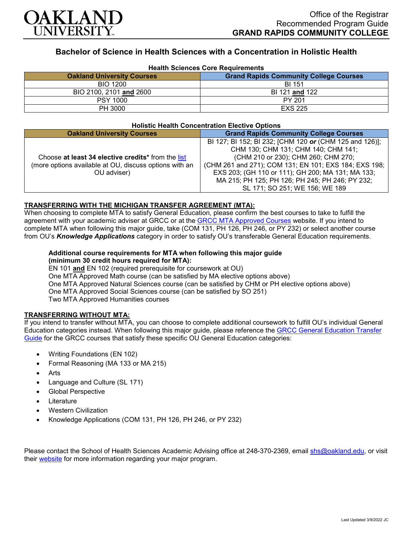

# **Bachelor of Science in Health Sciences with a Concentration in Holistic Health**

| <b>Health Sciences Core Requirements</b> |                                               |
|------------------------------------------|-----------------------------------------------|
| <b>Oakland University Courses</b>        | <b>Grand Rapids Community College Courses</b> |
| <b>BIO 1200</b>                          | <b>BI 151</b>                                 |
| BIO 2100, 2101 and 2600                  | BI 121 and 122                                |
| <b>PSY 1000</b>                          | PY 201                                        |
| PH 3000                                  | <b>EXS 225</b>                                |

#### **Holistic Health Concentration Elective Options**

| <b>Oakland University Courses</b>                                                                                           | <b>Grand Rapids Community College Courses</b>                                                                                                                                                                                                                                                                                            |
|-----------------------------------------------------------------------------------------------------------------------------|------------------------------------------------------------------------------------------------------------------------------------------------------------------------------------------------------------------------------------------------------------------------------------------------------------------------------------------|
| Choose at least 34 elective credits* from the list<br>(more options available at OU, discuss options with an<br>OU adviser) | BI 127; BI 152; BI 232; [CHM 120 or (CHM 125 and 126)];<br>CHM 130; CHM 131; CHM 140; CHM 141;<br>(CHM 210 or 230); CHM 260; CHM 270;<br>(CHM 261 and 271); COM 131; EN 101; EXS 184; EXS 198;<br>EXS 203; (GH 110 or 111); GH 200; MA 131; MA 133;<br>MA 215; PH 125; PH 126; PH 245; PH 246; PY 232;<br>SL 171; SO 251; WE 156; WE 189 |

#### **TRANSFERRING WITH THE MICHIGAN TRANSFER AGREEMENT (MTA):**

When choosing to complete MTA to satisfy General Education, please confirm the best courses to take to fulfill the agreement with your academic adviser at GRCC or at the <u>GRCC MTA Approved Courses</u> website. If you intend to complete MTA when following this major guide, take (COM 131, PH 126, PH 246, or PY 232) or select another course from OU's *Knowledge Applications* category in order to satisfy OU's transferable General Education requirements.

## **Additional course requirements for MTA when following this major guide (minimum 30 credit hours required for MTA):**

EN 101 **and** EN 102 (required prerequisite for coursework at OU) One MTA Approved Math course (can be satisfied by MA elective options above) One MTA Approved Natural Sciences course (can be satisfied by CHM or PH elective options above) One MTA Approved Social Sciences course (can be satisfied by SO 251) Two MTA Approved Humanities courses

## **TRANSFERRING WITHOUT MTA:**

If you intend to transfer without MTA, you can choose to complete additional coursework to fulfill OU's individual General Education categories instead. When following this major guide, please reference the [GRCC General Education Transfer](https://www.oakland.edu/Assets/Oakland/program-guides/grand-rapids-community-college/university-general-education-requirements/Grand%20Rapids%20Gen%20Ed.pdf)  [Guide](https://www.oakland.edu/Assets/Oakland/program-guides/grand-rapids-community-college/university-general-education-requirements/Grand%20Rapids%20Gen%20Ed.pdf) for the GRCC courses that satisfy these specific OU General Education categories:

- Writing Foundations (EN 102)
- Formal Reasoning (MA 133 or MA 215)
- Arts
- Language and Culture (SL 171)
- Global Perspective
- **Literature**
- Western Civilization
- Knowledge Applications (COM 131, PH 126, PH 246, or PY 232)

Please contact the School of Health Sciences Academic Advising office at 248-370-2369, email [shs@oakland.edu,](mailto:shs@oakland.edu) or visit their [website](http://www.oakland.edu/shs/advising) for more information regarding your major program.